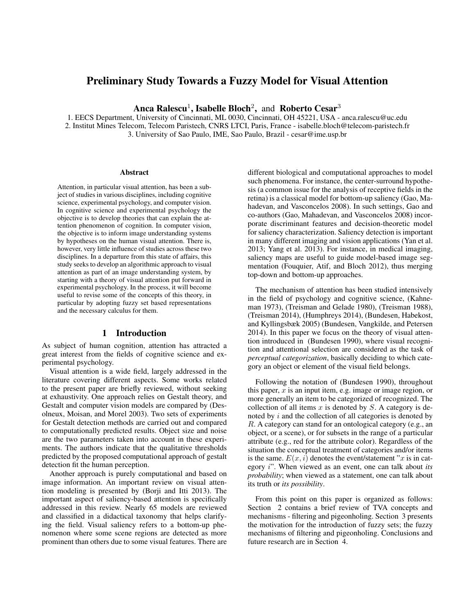# Preliminary Study Towards a Fuzzy Model for Visual Attention

Anca Ralescu<sup>1</sup>, Isabelle Bloch<sup>2</sup>, and Roberto Cesar<sup>3</sup>

1. EECS Department, University of Cincinnati, ML 0030, Cincinnati, OH 45221, USA - anca.ralescu@uc.edu 2. Institut Mines Telecom, Telecom Paristech, CNRS LTCI, Paris, France - isabelle.bloch@telecom-paristech.fr 3. University of Sao Paulo, IME, Sao Paulo, Brazil - cesar@ime.usp.br

#### **Abstract**

Attention, in particular visual attention, has been a subject of studies in various disciplines, including cognitive science, experimental psychology, and computer vision. In cognitive science and experimental psychology the objective is to develop theories that can explain the attention phenomenon of cognition. In computer vision, the objective is to inform image understanding systems by hypotheses on the human visual attention. There is, however, very little influence of studies across these two disciplines. In a departure from this state of affairs, this study seeks to develop an algorithmic approach to visual attention as part of an image understanding system, by starting with a theory of visual attention put forward in experimental psychology. In the process, it will become useful to revise some of the concepts of this theory, in particular by adopting fuzzy set based representations and the necessary calculus for them.

### 1 Introduction

As subject of human cognition, attention has attracted a great interest from the fields of cognitive science and experimental psychology.

Visual attention is a wide field, largely addressed in the literature covering different aspects. Some works related to the present paper are briefly reviewed, without seeking at exhaustivity. One approach relies on Gestalt theory, and Gestalt and computer vision models are compared by (Desolneux, Moisan, and Morel 2003). Two sets of experiments for Gestalt detection methods are carried out and compared to computationally predicted results. Object size and noise are the two parameters taken into account in these experiments. The authors indicate that the qualitative thresholds predicted by the proposed computational approach of gestalt detection fit the human perception.

Another approach is purely computational and based on image information. An important review on visual attention modeling is presented by (Borji and Itti 2013). The important aspect of saliency-based attention is specifically addressed in this review. Nearly 65 models are reviewed and classified in a didactical taxonomy that helps clarifying the field. Visual saliency refers to a bottom-up phenomenon where some scene regions are detected as more prominent than others due to some visual features. There are

different biological and computational approaches to model such phenomena. For instance, the center-surround hypothesis (a common issue for the analysis of receptive fields in the retina) is a classical model for bottom-up saliency (Gao, Mahadevan, and Vasconcelos 2008). In such settings, Gao and co-authors (Gao, Mahadevan, and Vasconcelos 2008) incorporate discriminant features and decision-theoretic model for saliency characterization. Saliency detection is important in many different imaging and vision applications (Yan et al. 2013; Yang et al. 2013). For instance, in medical imaging, saliency maps are useful to guide model-based image segmentation (Fouquier, Atif, and Bloch 2012), thus merging top-down and bottom-up approaches.

The mechanism of attention has been studied intensively in the field of psychology and cognitive science, (Kahneman 1973), (Treisman and Gelade 1980), (Treisman 1988), (Treisman 2014), (Humphreys 2014), (Bundesen, Habekost, and Kyllingsbæk 2005) (Bundesen, Vangkilde, and Petersen 2014). In this paper we focus on the theory of visual attention introduced in (Bundesen 1990), where visual recognition and attentional selection are considered as the task of *perceptual categorization*, basically deciding to which category an object or element of the visual field belongs.

Following the notation of (Bundesen 1990), throughout this paper,  $x$  is an input item, e.g. image or image region, or more generally an item to be categorized of recognized. The collection of all items  $x$  is denoted by  $S$ . A category is denoted by  $i$  and the collection of all categories is denoted by R. A category can stand for an ontological category (e.g., an object, or a scene), or for subsets in the range of a particular attribute (e.g., red for the attribute color). Regardless of the situation the conceptual treatment of categories and/or items is the same.  $E(x, i)$  denotes the event/statement "x is in category i". When viewed as an event, one can talk about *its probability*; when viewed as a statement, one can talk about its truth or *its possibility*.

From this point on this paper is organized as follows: Section 2 contains a brief review of TVA concepts and mechanisms - filtering and pigeonholing. Section 3 presents the motivation for the introduction of fuzzy sets; the fuzzy mechanisms of filtering and pigeonholing. Conclusions and future research are in Section 4.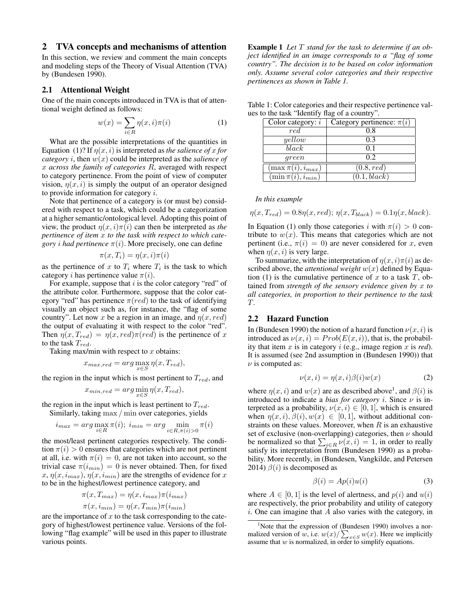### 2 TVA concepts and mechanisms of attention

In this section, we review and comment the main concepts and modeling steps of the Theory of Visual Attention (TVA) by (Bundesen 1990).

### 2.1 Attentional Weight

One of the main concepts introduced in TVA is that of attentional weight defined as follows:

$$
w(x) = \sum_{i \in R} \eta(x, i)\pi(i) \tag{1}
$$

What are the possible interpretations of the quantities in Equation (1)? If  $\eta(x, i)$  is interpreted as *the salience of* x for *category i*, then  $w(x)$  could be interpreted as the *salience* of x *across the family of categories* R, averaged with respect to category pertinence. From the point of view of computer vision,  $\eta(x, i)$  is simply the output of an operator designed to provide information for category i.

Note that pertinence of a category is (or must be) considered with respect to a task, which could be a categorization at a higher semantic/ontological level. Adopting this point of view, the product  $\eta(x, i)\pi(i)$  can then be interpreted as *the pertinence of item* x *to the task with respect to which category i had pertinence*  $\pi(i)$ . More precisely, one can define

$$
\pi(x,T_i) = \eta(x,i)\pi(i)
$$

as the pertinence of x to  $T_i$  where  $T_i$  is the task to which category *i* has pertinence value  $\pi(i)$ .

For example, suppose that  $i$  is the color category "red" of the attribute color. Furthermore, suppose that the color category "red" has pertinence  $\pi (red)$  to the task of identifying visually an object such as, for instance, the "flag of some country". Let now x be a region in an image, and  $\eta(x, red)$ the output of evaluating it with respect to the color "red". Then  $\eta(x, T_{red}) = \eta(x, red)\pi-red)$  is the pertinence of x to the task  $T_{red}$ .

Taking max/min with respect to  $x$  obtains:

$$
x_{max,red} = arg \max_{x \in S} \eta(x, T_{red}),
$$

the region in the input which is most pertinent to  $T_{red}$ , and

$$
x_{min,red} = arg \min_{x \in S} \eta(x, T_{red}),
$$

the region in the input which is least pertinent to  $T_{red}$ .

Similarly, taking max / min over categories, yields

$$
i_{max} = arg \max_{i \in R} \pi(i); \ i_{min} = arg \min_{i \in R, \pi(i) > 0} \pi(i)
$$

the most/least pertinent categories respectively. The condition  $\pi(i) > 0$  ensures that categories which are not pertinent at all, i.e. with  $\pi(i) = 0$ , are not taken into account, so the trivial case  $\pi(i_{min}) = 0$  is never obtained. Then, for fixed  $x, \eta(x, i_{max}), \eta(x, i_{min})$  are the strengths of evidence for x to be in the highest/lowest pertinence category, and

$$
\pi(x, T_{max}) = \eta(x, i_{max})\pi(i_{max})
$$

$$
\pi(x, i_{min}) = \eta(x, T_{min})\pi(i_{min})
$$

are the importance of  $x$  to the task corresponding to the category of highest/lowest pertinence value. Versions of the following "flag example" will be used in this paper to illustrate various points.

Example 1 *Let* T *stand for the task to determine if an object identified in an image corresponds to a "flag of some country". The decision is to be based on color information only. Assume several color categories and their respective pertinences as shown in Table 1.*

| Table 1: Color categories and their respective pertinence val- |  |  |  |
|----------------------------------------------------------------|--|--|--|
| ues to the task "Identify flag of a country".                  |  |  |  |

| Color category: $i$      | Category pertinence: $\pi(i)$ |
|--------------------------|-------------------------------|
| red                      | 0.8                           |
| yellow                   | 0.3                           |
| black                    | 0.1                           |
| qreen                    | 02                            |
| $(\max \pi(i), i_{max})$ | $\overline{(0.8, red)}$       |
| $(\min \pi(i), i_{min})$ | (0.1, black)                  |

*In this example*

$$
\eta(x, T_{red}) = 0.8\eta(x, red); \eta(x, T_{black}) = 0.1\eta(x, black).
$$

In Equation (1) only those categories i with  $\pi(i) > 0$  contribute to  $w(x)$ . This means that categories which are not pertinent (i.e.,  $\pi(i) = 0$ ) are never considered for x, even when  $\eta(x, i)$  is very large.

To summarize, with the interpretation of  $\eta(x, i)\pi(i)$  as described above, the *attentional weight*  $w(x)$  defined by Equation (1) is the cumulative pertinence of x to a task  $T$ , obtained from *strength of the sensory evidence given by* x *to all categories, in proportion to their pertinence to the task* T*.*

### 2.2 Hazard Function

In (Bundesen 1990) the notion of a hazard function  $\nu(x, i)$  is introduced as  $\nu(x, i) = Prob(E(x, i))$ , that is, the probability that item x is in category i (e.g., image region x is *red*). It is assumed (see 2nd assumption in (Bundesen 1990)) that  $\nu$  is computed as:

$$
\nu(x, i) = \eta(x, i)\beta(i)w(x) \tag{2}
$$

where  $\eta(x, i)$  and  $w(x)$  are as described above<sup>1</sup>, and  $\beta(i)$  is introduced to indicate a *bias for category i*. Since  $\nu$  is interpreted as a probability,  $\nu(x, i) \in [0, 1]$ , which is ensured when  $\eta(x, i), \beta(i), w(x) \in [0, 1]$ , without additional constraints on these values. Moreover, when  $R$  is an exhaustive set of exclusive (non-overlapping) categories, then  $\nu$  should be normalized so that  $\sum_{i \in R} \nu(x, i) = 1$ , in order to really satisfy its interpretation from (Bundesen 1990) as a probability. More recently, in (Bundesen, Vangkilde, and Petersen 2014)  $\beta(i)$  is decomposed as

$$
\beta(i) = Ap(i)u(i) \tag{3}
$$

where  $A \in [0, 1]$  is the level of alertness, and  $p(i)$  and  $u(i)$ are respectively, the prior probability and utility of category  $i$ . One can imagine that  $A$  also varies with the category, in

 $1$ Note that the expression of (Bundesen 1990) involves a normalized version of w, i.e.  $w(x)/\sum_{x \in S} w(x)$ . Here we implicitly assume that w is normalized, in order to simplify equations.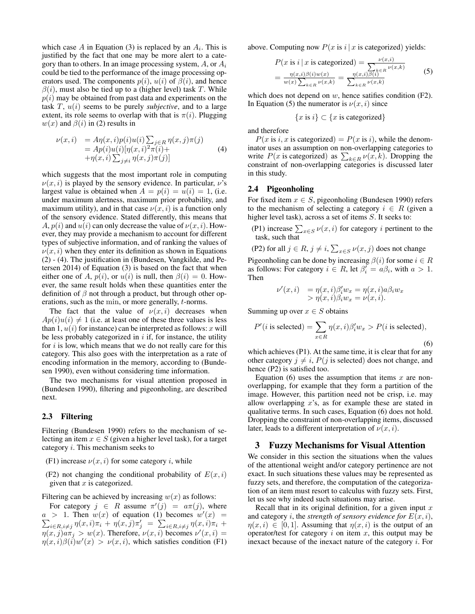which case A in Equation (3) is replaced by an  $A_i$ . This is justified by the fact that one may be more alert to a category than to others. In an image processing system,  $A$ , or  $A_i$ could be tied to the performance of the image processing operators used. The components  $p(i)$ ,  $u(i)$  of  $\beta(i)$ , and hence  $\beta(i)$ , must also be tied up to a (higher level) task T. While  $p(i)$  may be obtained from past data and experiments on the task T, u(i) seems to be purely *subjective*, and to a large extent, its role seems to overlap with that is  $\pi(i)$ . Plugging  $w(x)$  and  $\beta(i)$  in (2) results in

$$
\nu(x,i) = A\eta(x,i)p(i)u(i)\sum_{j\in R}\eta(x,j)\pi(j)
$$
  
=  $Ap(i)u(i)[\eta(x,i)^2\pi(i)+$   
+ $\eta(x,i)\sum_{j\neq i}\eta(x,j)\pi(j)]$  (4)

which suggests that the most important role in computing  $\nu(x, i)$  is played by the sensory evidence. In particular,  $\nu$ 's largest value is obtained when  $A = p(i) = u(i) = 1$ , (i.e. under maximum alertness, maximum prior probability, and maximum utility), and in that case  $\nu(x, i)$  is a function only of the sensory evidence. Stated differently, this means that A,  $p(i)$  and  $u(i)$  can only decrease the value of  $v(x, i)$ . However, they may provide a mechanism to account for different types of subjective information, and of ranking the values of  $\nu(x, i)$  when they enter its definition as shown in Equations (2) - (4). The justification in (Bundesen, Vangkilde, and Petersen 2014) of Equation (3) is based on the fact that when either one of A,  $p(i)$ , or  $u(i)$  is null, then  $\beta(i) = 0$ . However, the same result holds when these quantities enter the definition of  $\beta$  not through a product, but through other operations, such as the min, or more generally, t-norms.

The fact that the value of  $\nu(x, i)$  decreases when  $Ap(i)u(i) \neq 1$  (i.e. at least one of these three values is less than 1,  $u(i)$  for instance) can be interpreted as follows: x will be less probably categorized in  $i$  if, for instance, the utility for  $i$  is low, which means that we do not really care for this category. This also goes with the interpretation as a rate of encoding information in the memory, according to (Bundesen 1990), even without considering time information.

The two mechanisms for visual attention proposed in (Bundesen 1990), filtering and pigeonholing, are described next.

#### 2.3 Filtering

Filtering (Bundesen 1990) refers to the mechanism of selecting an item  $x \in S$  (given a higher level task), for a target category  $i$ . This mechanism seeks to

- (F1) increase  $\nu(x, i)$  for some category *i*, while
- (F2) not changing the conditional probability of  $E(x, i)$ given that  $x$  is categorized.

Filtering can be achieved by increasing  $w(x)$  as follows:

For category  $j \in R$  assume  $\pi'(j) = a\pi(j)$ , where  $a > 1$ . Then  $w(x)$  of equation (1) becomes  $w'(x) =$  $\sum_{i \in R, i \neq j} \eta(x, i)\pi_i + \eta(x, j)\pi'_j = \sum_{i \in R, i \neq j} \eta(x, i)\pi_i +$  $\eta(x, j) \, a \pi_j > w(x)$ . Therefore,  $\nu(x, i)$  becomes  $\nu'(x, i) =$  $\eta(x,i)\beta(i)w'(x) > \nu(x,i)$ , which satisfies condition (F1) above. Computing now  $P(x \text{ is } i | x \text{ is categorized})$  yields:

$$
P(x \text{ is } i \mid x \text{ is categorized}) = \frac{\nu(x, i)}{\sum_{k \in R} \nu(x, k)}} = \frac{\eta(x, i)\beta(i)\nu(x)}{\nu(x)\sum_{k \in R} \nu(x, k)} = \frac{\eta(x, i)\beta(i)}{\sum_{k \in R} \nu(x, k)} \tag{5}
$$

which does not depend on  $w$ , hence satifies condition  $(F2)$ . In Equation (5) the numerator is  $\nu(x, i)$  since

$$
\{x \text{ is } i\} \subset \{x \text{ is categorized}\}
$$

and therefore

 $P(x \text{ is } i, x \text{ is categorized}) = P(x \text{ is } i)$ , while the denominator uses an assumption on non-overlapping categories to write  $P(x)$  is categorized) as  $\sum_{k \in R} \nu(x, k)$ . Dropping the constraint of non-overlapping categories is discussed later in this study.

### 2.4 Pigeonholing

For fixed item  $x \in S$ , pigeonholing (Bundesen 1990) refers to the mechanism of selecting a category  $i \in R$  (given a higher level task), across a set of items S. It seeks to:

(P1) increase  $\sum_{x \in S} \nu(x, i)$  for category *i* pertinent to the task, such that

(P2) for all  $j \in R$ ,  $j \neq i$ ,  $\sum_{x \in S} \nu(x, j)$  does not change

Pigeonholing can be done by increasing  $\beta(i)$  for some  $i \in R$ as follows: For category  $i \in R$ , let  $\beta'_i = a\beta_i$ , with  $a > 1$ . Then

$$
\nu'(x,i) = \eta(x,i)\beta'_i w_x = \eta(x,i)a\beta_i w_x \n> \eta(x,i)\beta_i w_x = \nu(x,i).
$$

Summing up over  $x \in S$  obtains

$$
P'(i \text{ is selected}) = \sum_{x \in R} \eta(x, i)\beta'_i w_x > P(i \text{ is selected}),
$$
\n(6)

which achieves (P1). At the same time, it is clear that for any other category  $j \neq i$ ,  $P(j$  is selected) does not change, and hence (P2) is satisfied too.

Equation (6) uses the assumption that items  $x$  are nonoverlapping, for example that they form a partition of the image. However, this partition need not be crisp, i.e. may allow overlapping  $x$ 's, as for example these are stated in qualitative terms. In such cases, Equation (6) does not hold. Dropping the constraint of non-overlapping items, discussed later, leads to a different interpretation of  $\nu(x, i)$ .

### 3 Fuzzy Mechanisms for Visual Attention

We consider in this section the situations when the values of the attentional weight and/or category pertinence are not exact. In such situations these values may be represented as fuzzy sets, and therefore, the computation of the categorization of an item must resort to calculus with fuzzy sets. First, let us see why indeed such situations may arise.

Recall that in its original definition, for a given input  $x$ and category *i*, the *strength of sensory evidence for*  $E(x, i)$ ,  $\eta(x, i) \in [0, 1]$ . Assuming that  $\eta(x, i)$  is the output of an operator/test for category  $i$  on item  $x$ , this output may be inexact because of the inexact nature of the category  $i$ . For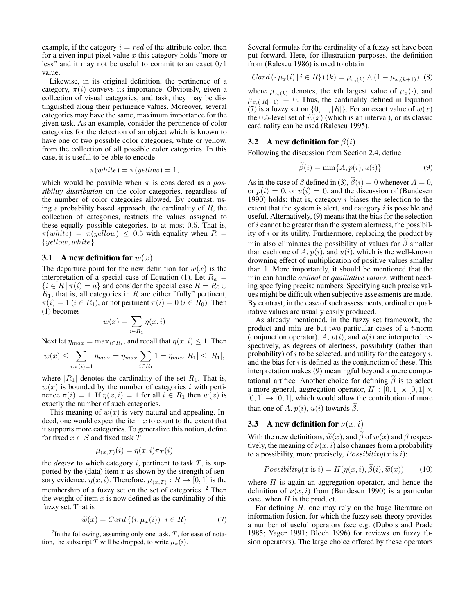example, if the category  $i = red$  of the attribute color, then for a given input pixel value  $x$  this category holds "more or less" and it may not be useful to commit to an exact 0/1 value.

Likewise, in its original definition, the pertinence of a category,  $\pi(i)$  conveys its importance. Obviously, given a collection of visual categories, and task, they may be distinguished along their pertinence values. Moreover, several categories may have the same, maximum importance for the given task. As an example, consider the pertinence of color categories for the detection of an object which is known to have one of two possible color categories, white or yellow, from the collection of all possible color categories. In this case, it is useful to be able to encode

$$
\pi(white) = \pi(yellow) = 1,
$$

which would be possible when  $\pi$  is considered as a *possibility distribution* on the color categories, regardless of the number of color categories allowed. By contrast, using a probability based approach, the cardinality of  $R$ , the collection of categories, restricts the values assigned to these equally possible categories, to at most 0.5. That is,  $\pi(white) = \pi(yellow) \leq 0.5$  with equality when  $R =$  ${yellow, white}.$ 

#### 3.1 A new definition for  $w(x)$

The departure point for the new definition for  $w(x)$  is the interpretation of a special case of Equation (1). Let  $R_a$  =  $\{i \in R \mid \pi(i) = a\}$  and consider the special case  $R = R_0 \cup$  $R_1$ , that is, all categories in R are either "fully" pertinent,  $\pi(i) = 1$  ( $i \in R_1$ ), or not pertinent  $\pi(i) = 0$  ( $i \in R_0$ ). Then (1) becomes

$$
w(x) = \sum_{i \in R_1} \eta(x, i)
$$

Next let  $\eta_{max} = \max_{i \in R_1}$ , and recall that  $\eta(x, i) \leq 1$ . Then

$$
w(x) \le \sum_{i:\pi(i)=1} \eta_{max} = \eta_{max} \sum_{i \in R_1} 1 = \eta_{max} |R_1| \le |R_1|,
$$

where  $|R_1|$  denotes the cardinality of the set  $R_1$ . That is,  $w(x)$  is bounded by the number of categories i with pertinence  $\pi(i) = 1$ . If  $\eta(x, i) = 1$  for all  $i \in R_1$  then  $w(x)$  is exactly the number of such categories.

This meaning of  $w(x)$  is very natural and appealing. Indeed, one would expect the item  $x$  to count to the extent that it supports more categories. To generalize this notion, define for fixed  $x \in S$  and fixed task  $T$ 

$$
\mu_{(x,T)}(i) = \eta(x,i)\pi_T(i)
$$

the *degree* to which category  $i$ , pertinent to task  $T$ , is supported by the (data) item  $x$  as shown by the strength of sensory evidence,  $\eta(x, i)$ . Therefore,  $\mu_{(x,T)} : R \to [0, 1]$  is the membership of a fuzzy set on the set of categories. <sup>2</sup> Then the weight of item  $x$  is now defined as the cardinality of this fuzzy set. That is

$$
\widetilde{w}(x) = Card\{(i, \mu_x(i)) \mid i \in R\}
$$
\n<sup>(7)</sup>

Several formulas for the cardinality of a fuzzy set have been put forward. Here, for illustration purposes, the definition from (Ralescu 1986) is used to obtain

$$
Card (\{\mu_x(i) \mid i \in R\}) (k) = \mu_{x,(k)} \wedge (1 - \mu_{x,(k+1)}) \tag{8}
$$

where  $\mu_{x,(k)}$  denotes, the kth largest value of  $\mu_x(\cdot)$ , and  $\mu_{x,(|R|+1)} = 0$ . Thus, the cardinality defined in Equation (7) is a fuzzy set on  $\{0, ..., |R|\}$ . For an exact value of  $w(x)$ the 0.5-level set of  $\widetilde{w}(x)$  (which is an interval), or its classic cardinality can be used (Ralescu 1995).

#### 3.2 A new definition for  $\beta(i)$

Following the discussion from Section 2.4, define

$$
\beta(i) = \min\{A, p(i), u(i)\}\tag{9}
$$

As in the case of  $\beta$  defined in (3),  $\beta(i) = 0$  whenever  $A = 0$ , or  $p(i) = 0$ , or  $u(i) = 0$ , and the discussion of (Bundesen 1990) holds: that is, category  $i$  biases the selection to the extent that the system is alert, and category  $i$  is possible and useful. Alternatively, (9) means that the bias for the selection of i cannot be greater than the system alertness, the possibility of  $i$  or its utility. Furthermore, replacing the product by min also eliminates the possibility of values for  $\beta$  smaller than each one of A,  $p(i)$ , and  $u(i)$ , which is the well-known drowning effect of multiplication of positive values smaller than 1. More importantly, it should be mentioned that the min can handle *ordinal* or *qualitative values*, without needing specifying precise numbers. Specifying such precise values might be difficult when subjective assessments are made. By contrast, in the case of such assessments, ordinal or qualitative values are usually easily produced.

As already mentioned, in the fuzzy set framework, the product and min are but two particular cases of a t-norm (conjunction operator). A,  $p(i)$ , and  $u(i)$  are interpreted respectively, as degrees of alertness, possibility (rather than probability) of  $i$  to be selected, and utility for the category  $i$ , and the bias for  $i$  is defined as the conjunction of these. This interpretation makes (9) meaningful beyond a mere computational artifice. Another choice for defining  $\beta$  is to select a more general, aggregation operator,  $H : [0,1] \times [0,1] \times$  $[0, 1] \rightarrow [0, 1]$ , which would allow the contribution of more than one of A,  $p(i)$ ,  $u(i)$  towards  $\beta$ .

### 3.3 A new definition for  $\nu(x, i)$

With the new definitions,  $\tilde{w}(x)$ , and  $\beta$  of  $w(x)$  and  $\beta$  respectively, the meaning of  $\nu(x, i)$  also changes from a probability to a possibility, more precisely,  $Possibility(x \text{ is } i)$ :

*Possibility*(
$$
x
$$
 is  $i$ ) =  $H(\eta(x, i), \beta(i), \tilde{w}(x))$  (10)

where  $H$  is again an aggregation operator, and hence the definition of  $\nu(x, i)$  from (Bundesen 1990) is a particular case, when  $H$  is the product.

For defining  $H$ , one may rely on the huge literature on information fusion, for which the fuzzy sets theory provides a number of useful operators (see e.g. (Dubois and Prade 1985; Yager 1991; Bloch 1996) for reviews on fuzzy fusion operators). The large choice offered by these operators

 $2$ In the following, assuming only one task,  $T$ , for ease of notation, the subscript T will be dropped, to write  $\mu_x(i)$ .